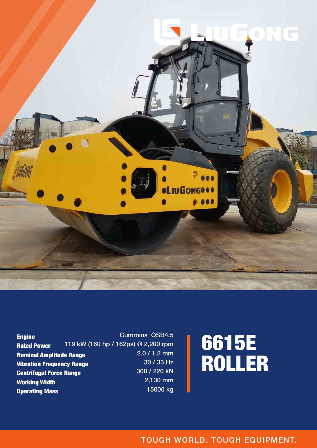

Engine Rated Power Nominal Amplitude Range Vibration Frequency Range Centrifugal Force Range Working Width Operating Mass Cummins QSB4.5 119 kW (160 hp / 162ps) @ 2,200 rpm 2.0 / 1.2 mm 30 / 33 Hz 300 / 220 kN 2,130 mm 15000 kg

# 6615E ROLLER

TOUGH WORLD. TOUGH EQUIPMENT.